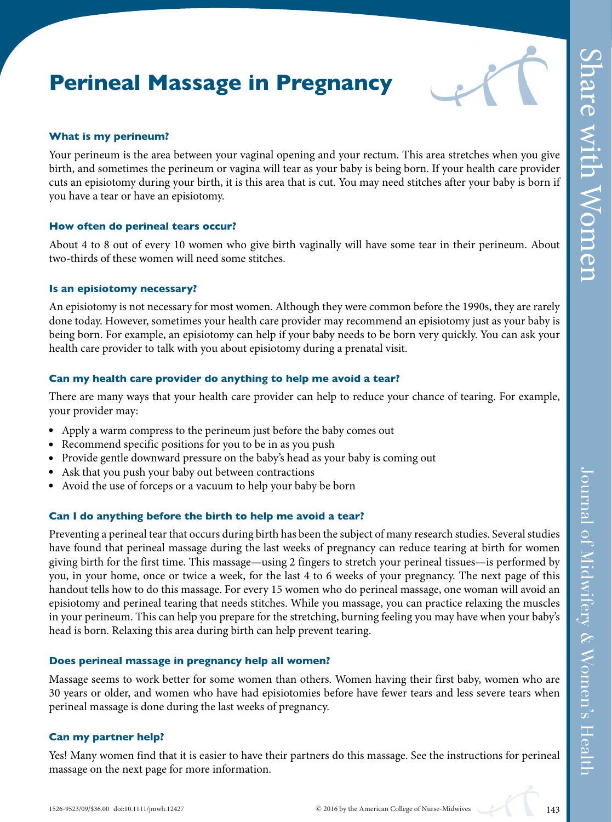# **Perineal Massage in Pregnancy**

### **What is my perineum?**

Your perineum is the area between your vaginal opening and your rectum. This area stretches when you give birth, and sometimes the perineum or vagina will tear as your baby is being born. If your health care provider cuts an episiotomy during your birth, it is this area that is cut. You may need stitches after your baby is born if you have a tear or have an episiotomy.

#### **How often do perineal tears occur?**

About 4 to 8 out of every 10 women who give birth vaginally will have some tear in their perineum. About two-thirds of these women will need some stitches.

#### **Is an episiotomy necessary?**

An episiotomy is not necessary for most women. Although they were common before the 1990s, they are rarely done today. However, sometimes your health care provider may recommend an episiotomy just as your baby is being born. For example, an episiotomy can help if your baby needs to be born very quickly. You can ask your health care provider to talk with you about episiotomy during a prenatal visit.

### **Can my health care provider do anything to help me avoid a tear?**

There are many ways that your health care provider can help to reduce your chance of tearing. For example, your provider may:

- Apply a warm compress to the perineum just before the baby comes out
- Recommend specific positions for you to be in as you push
- Provide gentle downward pressure on the baby's head as your baby is coming out
- Ask that you push your baby out between contractions
- Avoid the use of forceps or a vacuum to help your baby be born

### **Can I do anything before the birth to help me avoid a tear?**

Preventing a perineal tear that occurs during birth has been the subject of many research studies. Several studies have found that perineal massage during the last weeks of pregnancy can reduce tearing at birth for women giving birth for the first time. This massage—using 2 fingers to stretch your perineal tissues—is performed by you, in your home, once or twice a week, for the last 4 to 6 weeks of your pregnancy. The next page of this handout tells how to do this massage. For every 15 women who do perineal massage, one woman will avoid an episiotomy and perineal tearing that needs stitches. While you massage, you can practice relaxing the muscles in your perineum. This can help you prepare for the stretching, burning feeling you may have when your baby's head is born. Relaxing this area during birth can help prevent tearing.

### **Does perineal massage in pregnancy help all women?**

Massage seems to work better for some women than others. Women having their first baby, women who are 30 years or older, and women who have had episiotomies before have fewer tears and less severe tears when perineal massage is done during the last weeks of pregnancy.

### **Can my partner help?**

Yes! Many women find that it is easier to have their partners do this massage. See the instructions for perineal massage on the next page for more information.